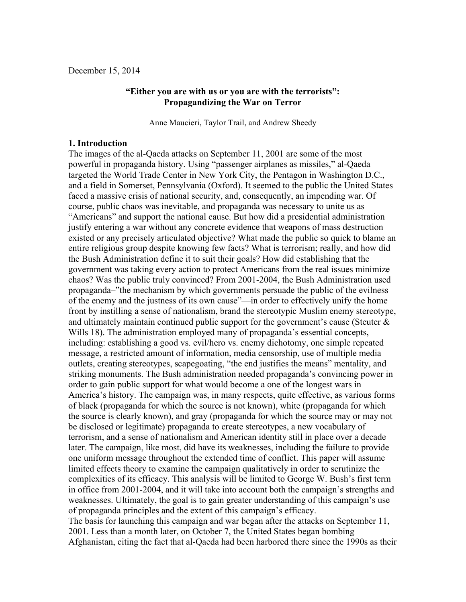# **"Either you are with us or you are with the terrorists": Propagandizing the War on Terror**

Anne Maucieri, Taylor Trail, and Andrew Sheedy

### **1. Introduction**

The images of the al-Qaeda attacks on September 11, 2001 are some of the most powerful in propaganda history. Using "passenger airplanes as missiles," al-Qaeda targeted the World Trade Center in New York City, the Pentagon in Washington D.C., and a field in Somerset, Pennsylvania (Oxford). It seemed to the public the United States faced a massive crisis of national security, and, consequently, an impending war. Of course, public chaos was inevitable, and propaganda was necessary to unite us as "Americans" and support the national cause. But how did a presidential administration justify entering a war without any concrete evidence that weapons of mass destruction existed or any precisely articulated objective? What made the public so quick to blame an entire religious group despite knowing few facts? What is terrorism; really, and how did the Bush Administration define it to suit their goals? How did establishing that the government was taking every action to protect Americans from the real issues minimize chaos? Was the public truly convinced? From 2001-2004, the Bush Administration used propaganda–"the mechanism by which governments persuade the public of the evilness of the enemy and the justness of its own cause"––in order to effectively unify the home front by instilling a sense of nationalism, brand the stereotypic Muslim enemy stereotype, and ultimately maintain continued public support for the government's cause (Steuter  $\&$ Wills 18). The administration employed many of propaganda's essential concepts, including: establishing a good vs. evil/hero vs. enemy dichotomy, one simple repeated message, a restricted amount of information, media censorship, use of multiple media outlets, creating stereotypes, scapegoating, "the end justifies the means" mentality, and striking monuments. The Bush administration needed propaganda's convincing power in order to gain public support for what would become a one of the longest wars in America's history. The campaign was, in many respects, quite effective, as various forms of black (propaganda for which the source is not known), white (propaganda for which the source is clearly known), and gray (propaganda for which the source may or may not be disclosed or legitimate) propaganda to create stereotypes, a new vocabulary of terrorism, and a sense of nationalism and American identity still in place over a decade later. The campaign, like most, did have its weaknesses, including the failure to provide one uniform message throughout the extended time of conflict. This paper will assume limited effects theory to examine the campaign qualitatively in order to scrutinize the complexities of its efficacy. This analysis will be limited to George W. Bush's first term in office from 2001-2004, and it will take into account both the campaign's strengths and weaknesses. Ultimately, the goal is to gain greater understanding of this campaign's use of propaganda principles and the extent of this campaign's efficacy. The basis for launching this campaign and war began after the attacks on September 11,

2001. Less than a month later, on October 7, the United States began bombing Afghanistan, citing the fact that al-Qaeda had been harbored there since the 1990s as their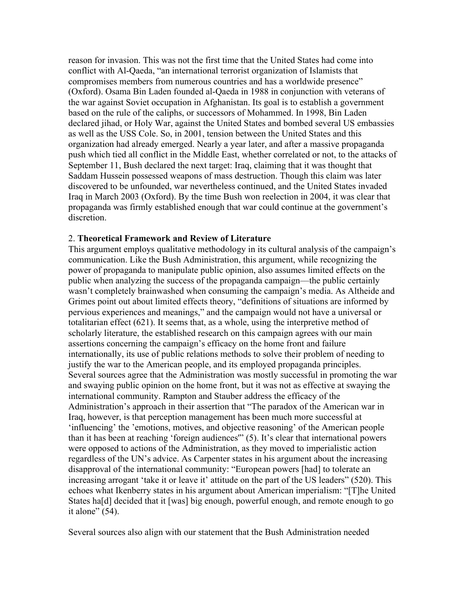reason for invasion. This was not the first time that the United States had come into conflict with Al-Qaeda, "an international terrorist organization of Islamists that compromises members from numerous countries and has a worldwide presence" (Oxford). Osama Bin Laden founded al-Qaeda in 1988 in conjunction with veterans of the war against Soviet occupation in Afghanistan. Its goal is to establish a government based on the rule of the caliphs, or successors of Mohammed. In 1998, Bin Laden declared jihad, or Holy War, against the United States and bombed several US embassies as well as the USS Cole. So, in 2001, tension between the United States and this organization had already emerged. Nearly a year later, and after a massive propaganda push which tied all conflict in the Middle East, whether correlated or not, to the attacks of September 11, Bush declared the next target: Iraq, claiming that it was thought that Saddam Hussein possessed weapons of mass destruction. Though this claim was later discovered to be unfounded, war nevertheless continued, and the United States invaded Iraq in March 2003 (Oxford). By the time Bush won reelection in 2004, it was clear that propaganda was firmly established enough that war could continue at the government's discretion.

### 2. **Theoretical Framework and Review of Literature**

This argument employs qualitative methodology in its cultural analysis of the campaign's communication. Like the Bush Administration, this argument, while recognizing the power of propaganda to manipulate public opinion, also assumes limited effects on the public when analyzing the success of the propaganda campaign––the public certainly wasn't completely brainwashed when consuming the campaign's media. As Altheide and Grimes point out about limited effects theory, "definitions of situations are informed by pervious experiences and meanings," and the campaign would not have a universal or totalitarian effect (621). It seems that, as a whole, using the interpretive method of scholarly literature, the established research on this campaign agrees with our main assertions concerning the campaign's efficacy on the home front and failure internationally, its use of public relations methods to solve their problem of needing to justify the war to the American people, and its employed propaganda principles. Several sources agree that the Administration was mostly successful in promoting the war and swaying public opinion on the home front, but it was not as effective at swaying the international community. Rampton and Stauber address the efficacy of the Administration's approach in their assertion that "The paradox of the American war in Iraq, however, is that perception management has been much more successful at 'influencing' the 'emotions, motives, and objective reasoning' of the American people than it has been at reaching 'foreign audiences'" (5). It's clear that international powers were opposed to actions of the Administration, as they moved to imperialistic action regardless of the UN's advice. As Carpenter states in his argument about the increasing disapproval of the international community: "European powers [had] to tolerate an increasing arrogant 'take it or leave it' attitude on the part of the US leaders" (520). This echoes what Ikenberry states in his argument about American imperialism: "[T]he United States ha<sup>[d]</sup> decided that it [was] big enough, powerful enough, and remote enough to go it alone" (54).

Several sources also align with our statement that the Bush Administration needed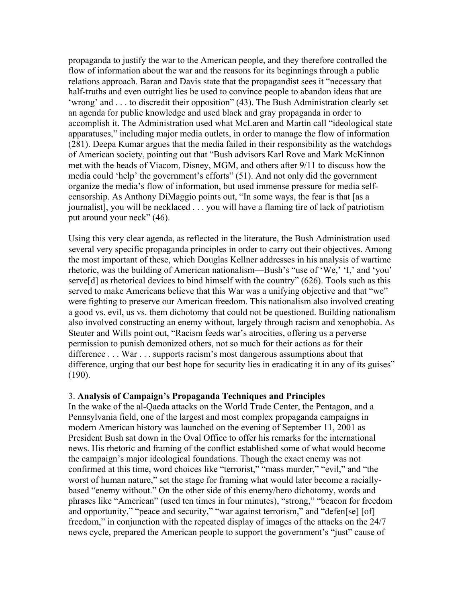propaganda to justify the war to the American people, and they therefore controlled the flow of information about the war and the reasons for its beginnings through a public relations approach. Baran and Davis state that the propagandist sees it "necessary that half-truths and even outright lies be used to convince people to abandon ideas that are 'wrong' and . . . to discredit their opposition" (43). The Bush Administration clearly set an agenda for public knowledge and used black and gray propaganda in order to accomplish it. The Administration used what McLaren and Martin call "ideological state apparatuses," including major media outlets, in order to manage the flow of information (281). Deepa Kumar argues that the media failed in their responsibility as the watchdogs of American society, pointing out that "Bush advisors Karl Rove and Mark McKinnon met with the heads of Viacom, Disney, MGM, and others after 9/11 to discuss how the media could 'help' the government's efforts" (51). And not only did the government organize the media's flow of information, but used immense pressure for media selfcensorship. As Anthony DiMaggio points out, "In some ways, the fear is that [as a journalist], you will be necklaced . . . you will have a flaming tire of lack of patriotism put around your neck" (46).

Using this very clear agenda, as reflected in the literature, the Bush Administration used several very specific propaganda principles in order to carry out their objectives. Among the most important of these, which Douglas Kellner addresses in his analysis of wartime rhetoric, was the building of American nationalism––Bush's "use of 'We,' 'I,' and 'you' serve<sup>[d]</sup> as rhetorical devices to bind himself with the country" (626). Tools such as this served to make Americans believe that this War was a unifying objective and that "we" were fighting to preserve our American freedom. This nationalism also involved creating a good vs. evil, us vs. them dichotomy that could not be questioned. Building nationalism also involved constructing an enemy without, largely through racism and xenophobia. As Steuter and Wills point out, "Racism feeds war's atrocities, offering us a perverse permission to punish demonized others, not so much for their actions as for their difference . . . War . . . supports racism's most dangerous assumptions about that difference, urging that our best hope for security lies in eradicating it in any of its guises" (190).

## 3. **Analysis of Campaign's Propaganda Techniques and Principles**

In the wake of the al-Qaeda attacks on the World Trade Center, the Pentagon, and a Pennsylvania field, one of the largest and most complex propaganda campaigns in modern American history was launched on the evening of September 11, 2001 as President Bush sat down in the Oval Office to offer his remarks for the international news. His rhetoric and framing of the conflict established some of what would become the campaign's major ideological foundations. Though the exact enemy was not confirmed at this time, word choices like "terrorist," "mass murder," "evil," and "the worst of human nature," set the stage for framing what would later become a raciallybased "enemy without." On the other side of this enemy/hero dichotomy, words and phrases like "American" (used ten times in four minutes), "strong," "beacon for freedom and opportunity," "peace and security," "war against terrorism," and "defen[se] [of] freedom," in conjunction with the repeated display of images of the attacks on the 24/7 news cycle, prepared the American people to support the government's "just" cause of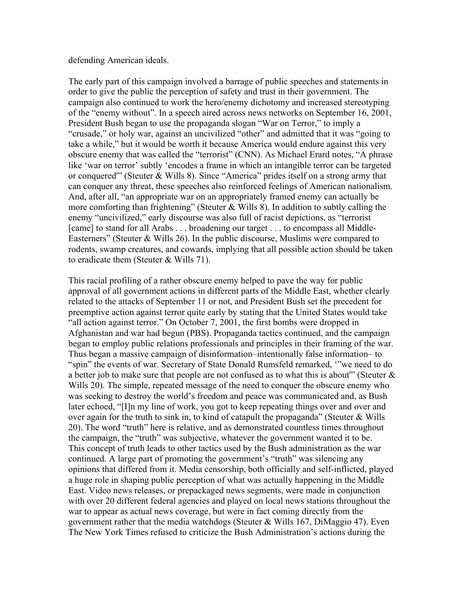defending American ideals.

The early part of this campaign involved a barrage of public speeches and statements in order to give the public the perception of safety and trust in their government. The campaign also continued to work the hero/enemy dichotomy and increased stereotyping of the "enemy without". In a speech aired across news networks on September 16, 2001, President Bush began to use the propaganda slogan "War on Terror," to imply a "crusade," or holy war, against an uncivilized "other" and admitted that it was "going to take a while," but it would be worth it because America would endure against this very obscure enemy that was called the "terrorist" (CNN). As Michael Erard notes, "A phrase like 'war on terror' subtly 'encodes a frame in which an intangible terror can be targeted or conquered'" (Steuter & Wills 8). Since "America" prides itself on a strong army that can conquer any threat, these speeches also reinforced feelings of American nationalism. And, after all, "an appropriate war on an appropriately framed enemy can actually be more comforting than frightening" (Steuter  $&$  Wills 8). In addition to subtly calling the enemy "uncivilized," early discourse was also full of racist depictions, as "terrorist [came] to stand for all Arabs . . . broadening our target . . . to encompass all Middle-Easterners" (Steuter & Wills 26). In the public discourse, Muslims were compared to rodents, swamp creatures, and cowards, implying that all possible action should be taken to eradicate them (Steuter & Wills 71).

This racial profiling of a rather obscure enemy helped to pave the way for public approval of all government actions in different parts of the Middle East, whether clearly related to the attacks of September 11 or not, and President Bush set the precedent for preemptive action against terror quite early by stating that the United States would take "all action against terror." On October 7, 2001, the first bombs were dropped in Afghanistan and war had begun (PBS). Propaganda tactics continued, and the campaign began to employ public relations professionals and principles in their framing of the war. Thus began a massive campaign of disinformation–intentionally false information– to "spin" the events of war. Secretary of State Donald Rumsfeld remarked, '"we need to do a better job to make sure that people are not confused as to what this is about'" (Steuter & Wills 20). The simple, repeated message of the need to conquer the obscure enemy who was seeking to destroy the world's freedom and peace was communicated and, as Bush later echoed, "[I]n my line of work, you got to keep repeating things over and over and over again for the truth to sink in, to kind of catapult the propaganda" (Steuter  $&$  Wills 20). The word "truth" here is relative, and as demonstrated countless times throughout the campaign, the "truth" was subjective, whatever the government wanted it to be. This concept of truth leads to other tactics used by the Bush administration as the war continued. A large part of promoting the government's "truth" was silencing any opinions that differed from it. Media censorship, both officially and self-inflicted, played a huge role in shaping public perception of what was actually happening in the Middle East. Video news releases, or prepackaged news segments, were made in conjunction with over 20 different federal agencies and played on local news stations throughout the war to appear as actual news coverage, but were in fact coming directly from the government rather that the media watchdogs (Steuter & Wills 167, DiMaggio 47). Even The New York Times refused to criticize the Bush Administration's actions during the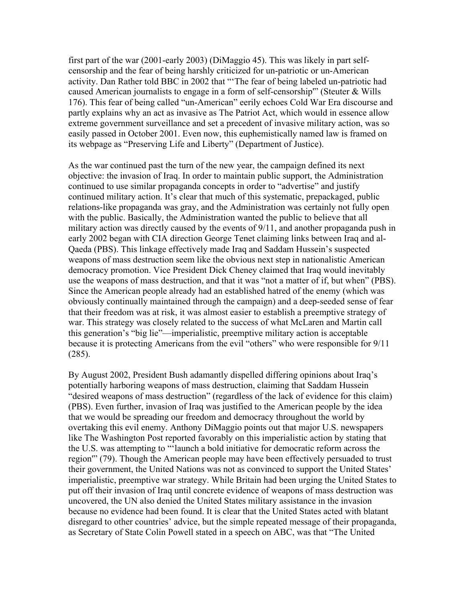first part of the war (2001-early 2003) (DiMaggio 45). This was likely in part selfcensorship and the fear of being harshly criticized for un-patriotic or un-American activity. Dan Rather told BBC in 2002 that "'The fear of being labeled un-patriotic had caused American journalists to engage in a form of self-censorship'" (Steuter & Wills 176). This fear of being called "un-American" eerily echoes Cold War Era discourse and partly explains why an act as invasive as The Patriot Act, which would in essence allow extreme government surveillance and set a precedent of invasive military action, was so easily passed in October 2001. Even now, this euphemistically named law is framed on its webpage as "Preserving Life and Liberty" (Department of Justice).

As the war continued past the turn of the new year, the campaign defined its next objective: the invasion of Iraq. In order to maintain public support, the Administration continued to use similar propaganda concepts in order to "advertise" and justify continued military action. It's clear that much of this systematic, prepackaged, public relations-like propaganda was gray, and the Administration was certainly not fully open with the public. Basically, the Administration wanted the public to believe that all military action was directly caused by the events of 9/11, and another propaganda push in early 2002 began with CIA direction George Tenet claiming links between Iraq and al-Qaeda (PBS). This linkage effectively made Iraq and Saddam Hussein's suspected weapons of mass destruction seem like the obvious next step in nationalistic American democracy promotion. Vice President Dick Cheney claimed that Iraq would inevitably use the weapons of mass destruction, and that it was "not a matter of if, but when" (PBS). Since the American people already had an established hatred of the enemy (which was obviously continually maintained through the campaign) and a deep-seeded sense of fear that their freedom was at risk, it was almost easier to establish a preemptive strategy of war. This strategy was closely related to the success of what McLaren and Martin call this generation's "big lie"––imperialistic, preemptive military action is acceptable because it is protecting Americans from the evil "others" who were responsible for 9/11 (285).

By August 2002, President Bush adamantly dispelled differing opinions about Iraq's potentially harboring weapons of mass destruction, claiming that Saddam Hussein "desired weapons of mass destruction" (regardless of the lack of evidence for this claim) (PBS). Even further, invasion of Iraq was justified to the American people by the idea that we would be spreading our freedom and democracy throughout the world by overtaking this evil enemy. Anthony DiMaggio points out that major U.S. newspapers like The Washington Post reported favorably on this imperialistic action by stating that the U.S. was attempting to "'launch a bold initiative for democratic reform across the region'" (79). Though the American people may have been effectively persuaded to trust their government, the United Nations was not as convinced to support the United States' imperialistic, preemptive war strategy. While Britain had been urging the United States to put off their invasion of Iraq until concrete evidence of weapons of mass destruction was uncovered, the UN also denied the United States military assistance in the invasion because no evidence had been found. It is clear that the United States acted with blatant disregard to other countries' advice, but the simple repeated message of their propaganda, as Secretary of State Colin Powell stated in a speech on ABC, was that "The United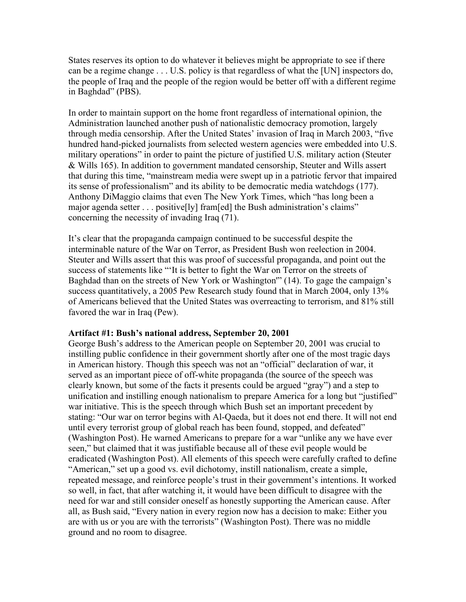States reserves its option to do whatever it believes might be appropriate to see if there can be a regime change . . . U.S. policy is that regardless of what the [UN] inspectors do, the people of Iraq and the people of the region would be better off with a different regime in Baghdad" (PBS).

In order to maintain support on the home front regardless of international opinion, the Administration launched another push of nationalistic democracy promotion, largely through media censorship. After the United States' invasion of Iraq in March 2003, "five hundred hand-picked journalists from selected western agencies were embedded into U.S. military operations" in order to paint the picture of justified U.S. military action (Steuter & Wills 165). In addition to government mandated censorship, Steuter and Wills assert that during this time, "mainstream media were swept up in a patriotic fervor that impaired its sense of professionalism" and its ability to be democratic media watchdogs (177). Anthony DiMaggio claims that even The New York Times, which "has long been a major agenda setter . . . positive[ly] fram[ed] the Bush administration's claims" concerning the necessity of invading Iraq (71).

It's clear that the propaganda campaign continued to be successful despite the interminable nature of the War on Terror, as President Bush won reelection in 2004. Steuter and Wills assert that this was proof of successful propaganda, and point out the success of statements like "'It is better to fight the War on Terror on the streets of Baghdad than on the streets of New York or Washington'" (14). To gage the campaign's success quantitatively, a 2005 Pew Research study found that in March 2004, only 13% of Americans believed that the United States was overreacting to terrorism, and 81% still favored the war in Iraq (Pew).

## **Artifact #1: Bush's national address, September 20, 2001**

George Bush's address to the American people on September 20, 2001 was crucial to instilling public confidence in their government shortly after one of the most tragic days in American history. Though this speech was not an "official" declaration of war, it served as an important piece of off-white propaganda (the source of the speech was clearly known, but some of the facts it presents could be argued "gray") and a step to unification and instilling enough nationalism to prepare America for a long but "justified" war initiative. This is the speech through which Bush set an important precedent by stating: "Our war on terror begins with Al-Qaeda, but it does not end there. It will not end until every terrorist group of global reach has been found, stopped, and defeated" (Washington Post). He warned Americans to prepare for a war "unlike any we have ever seen," but claimed that it was justifiable because all of these evil people would be eradicated (Washington Post). All elements of this speech were carefully crafted to define "American," set up a good vs. evil dichotomy, instill nationalism, create a simple, repeated message, and reinforce people's trust in their government's intentions. It worked so well, in fact, that after watching it, it would have been difficult to disagree with the need for war and still consider oneself as honestly supporting the American cause. After all, as Bush said, "Every nation in every region now has a decision to make: Either you are with us or you are with the terrorists" (Washington Post). There was no middle ground and no room to disagree.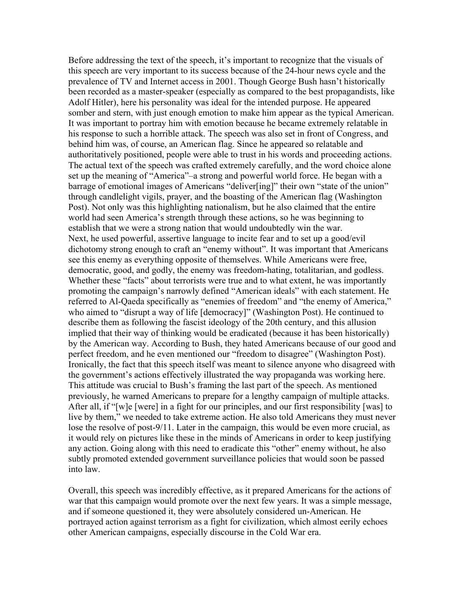Before addressing the text of the speech, it's important to recognize that the visuals of this speech are very important to its success because of the 24-hour news cycle and the prevalence of TV and Internet access in 2001. Though George Bush hasn't historically been recorded as a master-speaker (especially as compared to the best propagandists, like Adolf Hitler), here his personality was ideal for the intended purpose. He appeared somber and stern, with just enough emotion to make him appear as the typical American. It was important to portray him with emotion because he became extremely relatable in his response to such a horrible attack. The speech was also set in front of Congress, and behind him was, of course, an American flag. Since he appeared so relatable and authoritatively positioned, people were able to trust in his words and proceeding actions. The actual text of the speech was crafted extremely carefully, and the word choice alone set up the meaning of "America"–a strong and powerful world force. He began with a barrage of emotional images of Americans "deliver[ing]" their own "state of the union" through candlelight vigils, prayer, and the boasting of the American flag (Washington Post). Not only was this highlighting nationalism, but he also claimed that the entire world had seen America's strength through these actions, so he was beginning to establish that we were a strong nation that would undoubtedly win the war. Next, he used powerful, assertive language to incite fear and to set up a good/evil dichotomy strong enough to craft an "enemy without". It was important that Americans see this enemy as everything opposite of themselves. While Americans were free, democratic, good, and godly, the enemy was freedom-hating, totalitarian, and godless. Whether these "facts" about terrorists were true and to what extent, he was importantly promoting the campaign's narrowly defined "American ideals" with each statement. He referred to Al-Qaeda specifically as "enemies of freedom" and "the enemy of America," who aimed to "disrupt a way of life [democracy]" (Washington Post). He continued to describe them as following the fascist ideology of the 20th century, and this allusion implied that their way of thinking would be eradicated (because it has been historically) by the American way. According to Bush, they hated Americans because of our good and perfect freedom, and he even mentioned our "freedom to disagree" (Washington Post). Ironically, the fact that this speech itself was meant to silence anyone who disagreed with the government's actions effectively illustrated the way propaganda was working here. This attitude was crucial to Bush's framing the last part of the speech. As mentioned previously, he warned Americans to prepare for a lengthy campaign of multiple attacks. After all, if "[w]e [were] in a fight for our principles, and our first responsibility [was] to live by them," we needed to take extreme action. He also told Americans they must never lose the resolve of post-9/11. Later in the campaign, this would be even more crucial, as it would rely on pictures like these in the minds of Americans in order to keep justifying any action. Going along with this need to eradicate this "other" enemy without, he also subtly promoted extended government surveillance policies that would soon be passed into law.

Overall, this speech was incredibly effective, as it prepared Americans for the actions of war that this campaign would promote over the next few years. It was a simple message, and if someone questioned it, they were absolutely considered un-American. He portrayed action against terrorism as a fight for civilization, which almost eerily echoes other American campaigns, especially discourse in the Cold War era.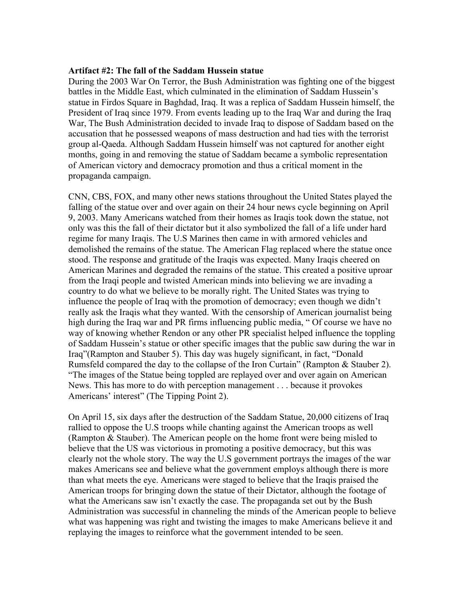## **Artifact #2: The fall of the Saddam Hussein statue**

During the 2003 War On Terror, the Bush Administration was fighting one of the biggest battles in the Middle East, which culminated in the elimination of Saddam Hussein's statue in Firdos Square in Baghdad, Iraq. It was a replica of Saddam Hussein himself, the President of Iraq since 1979. From events leading up to the Iraq War and during the Iraq War, The Bush Administration decided to invade Iraq to dispose of Saddam based on the accusation that he possessed weapons of mass destruction and had ties with the terrorist group al-Qaeda. Although Saddam Hussein himself was not captured for another eight months, going in and removing the statue of Saddam became a symbolic representation of American victory and democracy promotion and thus a critical moment in the propaganda campaign.

CNN, CBS, FOX, and many other news stations throughout the United States played the falling of the statue over and over again on their 24 hour news cycle beginning on April 9, 2003. Many Americans watched from their homes as Iraqis took down the statue, not only was this the fall of their dictator but it also symbolized the fall of a life under hard regime for many Iraqis. The U.S Marines then came in with armored vehicles and demolished the remains of the statue. The American Flag replaced where the statue once stood. The response and gratitude of the Iraqis was expected. Many Iraqis cheered on American Marines and degraded the remains of the statue. This created a positive uproar from the Iraqi people and twisted American minds into believing we are invading a country to do what we believe to be morally right. The United States was trying to influence the people of Iraq with the promotion of democracy; even though we didn't really ask the Iraqis what they wanted. With the censorship of American journalist being high during the Iraq war and PR firms influencing public media, " Of course we have no way of knowing whether Rendon or any other PR specialist helped influence the toppling of Saddam Hussein's statue or other specific images that the public saw during the war in Iraq"(Rampton and Stauber 5). This day was hugely significant, in fact, "Donald Rumsfeld compared the day to the collapse of the Iron Curtain" (Rampton & Stauber 2). "The images of the Statue being toppled are replayed over and over again on American News. This has more to do with perception management . . . because it provokes Americans' interest" (The Tipping Point 2).

On April 15, six days after the destruction of the Saddam Statue, 20,000 citizens of Iraq rallied to oppose the U.S troops while chanting against the American troops as well (Rampton & Stauber). The American people on the home front were being misled to believe that the US was victorious in promoting a positive democracy, but this was clearly not the whole story. The way the U.S government portrays the images of the war makes Americans see and believe what the government employs although there is more than what meets the eye. Americans were staged to believe that the Iraqis praised the American troops for bringing down the statue of their Dictator, although the footage of what the Americans saw isn't exactly the case. The propaganda set out by the Bush Administration was successful in channeling the minds of the American people to believe what was happening was right and twisting the images to make Americans believe it and replaying the images to reinforce what the government intended to be seen.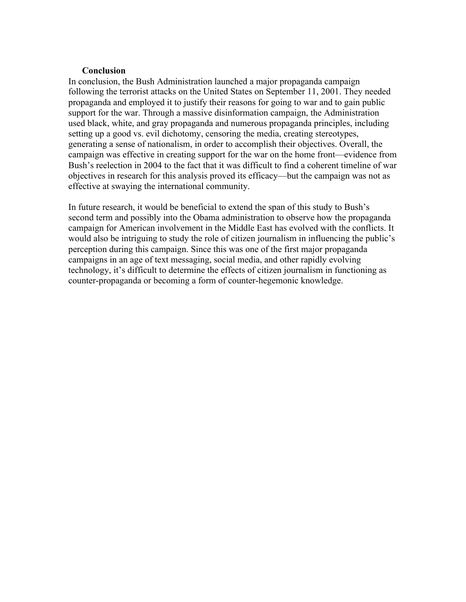### **Conclusion**

In conclusion, the Bush Administration launched a major propaganda campaign following the terrorist attacks on the United States on September 11, 2001. They needed propaganda and employed it to justify their reasons for going to war and to gain public support for the war. Through a massive disinformation campaign, the Administration used black, white, and gray propaganda and numerous propaganda principles, including setting up a good vs. evil dichotomy, censoring the media, creating stereotypes, generating a sense of nationalism, in order to accomplish their objectives. Overall, the campaign was effective in creating support for the war on the home front––evidence from Bush's reelection in 2004 to the fact that it was difficult to find a coherent timeline of war objectives in research for this analysis proved its efficacy––but the campaign was not as effective at swaying the international community.

In future research, it would be beneficial to extend the span of this study to Bush's second term and possibly into the Obama administration to observe how the propaganda campaign for American involvement in the Middle East has evolved with the conflicts. It would also be intriguing to study the role of citizen journalism in influencing the public's perception during this campaign. Since this was one of the first major propaganda campaigns in an age of text messaging, social media, and other rapidly evolving technology, it's difficult to determine the effects of citizen journalism in functioning as counter-propaganda or becoming a form of counter-hegemonic knowledge.